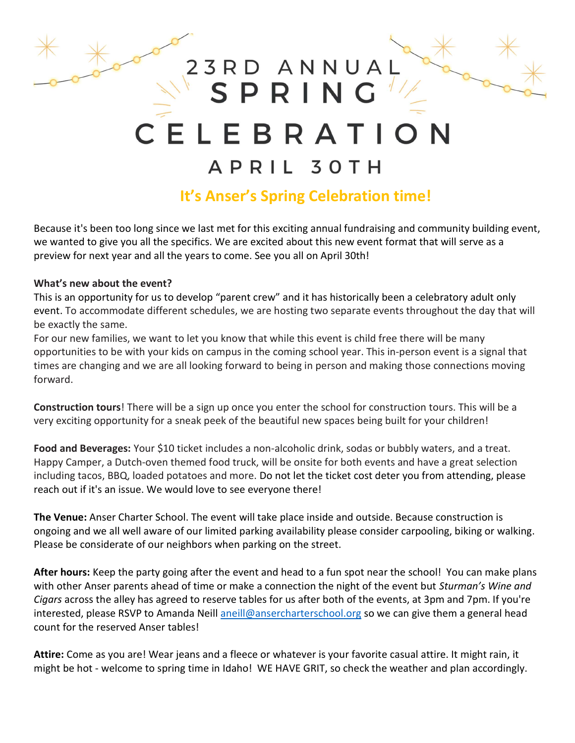# 23RD ANNUA SPRING ELEBRATIC

## APRIL 30TH

## It's Anser's Spring Celebration time!

Because it's been too long since we last met for this exciting annual fundraising and community building event, we wanted to give you all the specifics. We are excited about this new event format that will serve as a preview for next year and all the years to come. See you all on April 30th!

### What's new about the event?

This is an opportunity for us to develop "parent crew" and it has historically been a celebratory adult only event. To accommodate different schedules, we are hosting two separate events throughout the day that will be exactly the same.

For our new families, we want to let you know that while this event is child free there will be many opportunities to be with your kids on campus in the coming school year. This in-person event is a signal that times are changing and we are all looking forward to being in person and making those connections moving forward.

Construction tours! There will be a sign up once you enter the school for construction tours. This will be a very exciting opportunity for a sneak peek of the beautiful new spaces being built for your children!

Food and Beverages: Your \$10 ticket includes a non-alcoholic drink, sodas or bubbly waters, and a treat. Happy Camper, a Dutch-oven themed food truck, will be onsite for both events and have a great selection including tacos, BBQ, loaded potatoes and more. Do not let the ticket cost deter you from attending, please reach out if it's an issue. We would love to see everyone there!

The Venue: Anser Charter School. The event will take place inside and outside. Because construction is ongoing and we all well aware of our limited parking availability please consider carpooling, biking or walking. Please be considerate of our neighbors when parking on the street.

After hours: Keep the party going after the event and head to a fun spot near the school! You can make plans with other Anser parents ahead of time or make a connection the night of the event but Sturman's Wine and Cigars across the alley has agreed to reserve tables for us after both of the events, at 3pm and 7pm. If you're interested, please RSVP to Amanda Neill aneill@ansercharterschool.org so we can give them a general head count for the reserved Anser tables!

Attire: Come as you are! Wear jeans and a fleece or whatever is your favorite casual attire. It might rain, it might be hot - welcome to spring time in Idaho! WE HAVE GRIT, so check the weather and plan accordingly.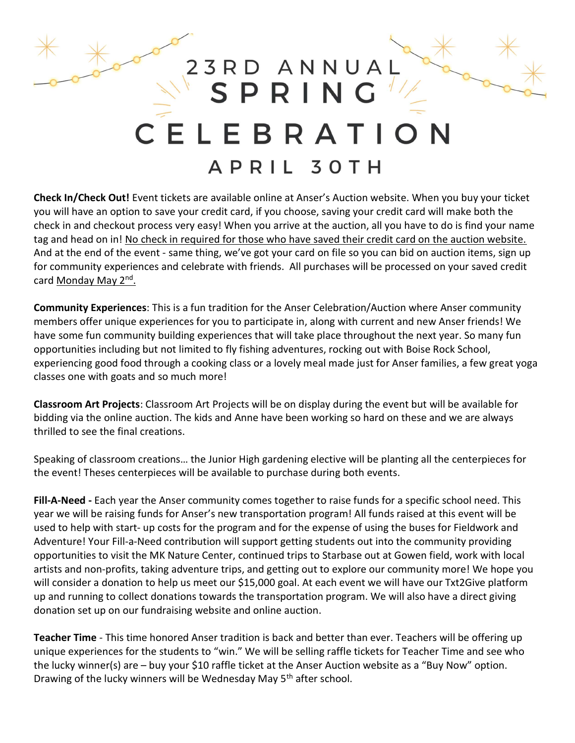

Check In/Check Out! Event tickets are available online at Anser's Auction website. When you buy your ticket you will have an option to save your credit card, if you choose, saving your credit card will make both the check in and checkout process very easy! When you arrive at the auction, all you have to do is find your name tag and head on in! No check in required for those who have saved their credit card on the auction website. And at the end of the event - same thing, we've got your card on file so you can bid on auction items, sign up for community experiences and celebrate with friends. All purchases will be processed on your saved credit card Monday May 2<sup>nd</sup>.

Community Experiences: This is a fun tradition for the Anser Celebration/Auction where Anser community members offer unique experiences for you to participate in, along with current and new Anser friends! We have some fun community building experiences that will take place throughout the next year. So many fun opportunities including but not limited to fly fishing adventures, rocking out with Boise Rock School, experiencing good food through a cooking class or a lovely meal made just for Anser families, a few great yoga classes one with goats and so much more!

Classroom Art Projects: Classroom Art Projects will be on display during the event but will be available for bidding via the online auction. The kids and Anne have been working so hard on these and we are always thrilled to see the final creations.

Speaking of classroom creations… the Junior High gardening elective will be planting all the centerpieces for the event! Theses centerpieces will be available to purchase during both events.

Fill-A-Need - Each year the Anser community comes together to raise funds for a specific school need. This year we will be raising funds for Anser's new transportation program! All funds raised at this event will be used to help with start- up costs for the program and for the expense of using the buses for Fieldwork and Adventure! Your Fill-a-Need contribution will support getting students out into the community providing opportunities to visit the MK Nature Center, continued trips to Starbase out at Gowen field, work with local artists and non-profits, taking adventure trips, and getting out to explore our community more! We hope you will consider a donation to help us meet our \$15,000 goal. At each event we will have our Txt2Give platform up and running to collect donations towards the transportation program. We will also have a direct giving donation set up on our fundraising website and online auction.

Teacher Time - This time honored Anser tradition is back and better than ever. Teachers will be offering up unique experiences for the students to "win." We will be selling raffle tickets for Teacher Time and see who the lucky winner(s) are – buy your \$10 raffle ticket at the Anser Auction website as a "Buy Now" option. Drawing of the lucky winners will be Wednesday May 5<sup>th</sup> after school.